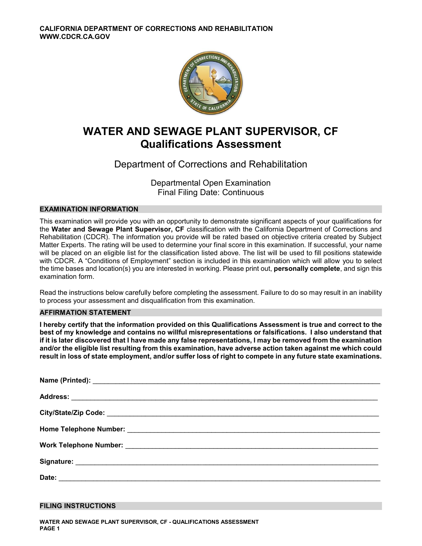

# **WATER AND SEWAGE PLANT SUPERVISOR, CF Qualifications Assessment**

# Department of Corrections and Rehabilitation

Departmental Open Examination Final Filing Date: Continuous

# **EXAMINATION INFORMATION**

This examination will provide you with an opportunity to demonstrate significant aspects of your qualifications for the **Water and Sewage Plant Supervisor, CF** classification with the California Department of Corrections and Rehabilitation (CDCR). The information you provide will be rated based on objective criteria created by Subject Matter Experts. The rating will be used to determine your final score in this examination. If successful, your name will be placed on an eligible list for the classification listed above. The list will be used to fill positions statewide with CDCR. A "Conditions of Employment" section is included in this examination which will allow you to select the time bases and location(s) you are interested in working. Please print out, **personally complete**, and sign this examination form.

Read the instructions below carefully before completing the assessment. Failure to do so may result in an inability to process your assessment and disqualification from this examination.

### **AFFIRMATION STATEMENT**

**I hereby certify that the information provided on this Qualifications Assessment is true and correct to the best of my knowledge and contains no willful misrepresentations or falsifications. I also understand that if it is later discovered that I have made any false representations, I may be removed from the examination and/or the eligible list resulting from this examination, have adverse action taken against me which could result in loss of state employment, and/or suffer loss of right to compete in any future state examinations.** 

### **FILING INSTRUCTIONS**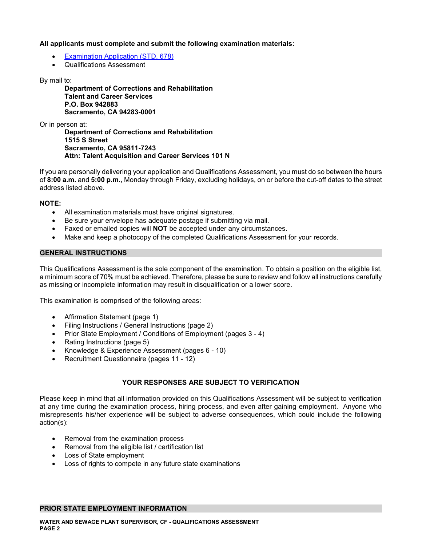## **All applicants must complete and submit the following examination materials:**

- [Examination Application \(STD. 678\)](https://jobs.ca.gov/pdf/STD678.pdf)
- Qualifications Assessment

By mail to:

 **Talent and Career Services Department of Corrections and Rehabilitation P.O. Box 942883 Sacramento, CA 94283-0001** 

Or in person at:

 **1515 S Street Department of Corrections and Rehabilitation Sacramento, CA 95811-7243 Attn: Talent Acquisition and Career Services 101 N**

If you are personally delivering your application and Qualifications Assessment, you must do so between the hours of **8:00 a.m.** and **5:00 p.m.**, Monday through Friday, excluding holidays, on or before the cut-off dates to the street address listed above.

# **NOTE:**

- All examination materials must have original signatures.
- Be sure your envelope has adequate postage if submitting via mail.
- Faxed or emailed copies will **NOT** be accepted under any circumstances.
- Make and keep a photocopy of the completed Qualifications Assessment for your records.

### **GENERAL INSTRUCTIONS**

This Qualifications Assessment is the sole component of the examination. To obtain a position on the eligible list, a minimum score of 70% must be achieved. Therefore, please be sure to review and follow all instructions carefully as missing or incomplete information may result in disqualification or a lower score.

This examination is comprised of the following areas:

- Affirmation Statement (page 1)
- Filing Instructions / General Instructions (page 2)
- Prior State Employment / Conditions of Employment (pages 3 4)
- Rating Instructions (page 5)
- Knowledge & Experience Assessment (pages 6 10)
- Recruitment Questionnaire (pages 11 12)

# **YOUR RESPONSES ARE SUBJECT TO VERIFICATION**

Please keep in mind that all information provided on this Qualifications Assessment will be subject to verification at any time during the examination process, hiring process, and even after gaining employment. Anyone who misrepresents his/her experience will be subject to adverse consequences, which could include the following action(s):

- Removal from the examination process
- Removal from the eligible list / certification list
- Loss of State employment
- Loss of rights to compete in any future state examinations

### **PRIOR STATE EMPLOYMENT INFORMATION**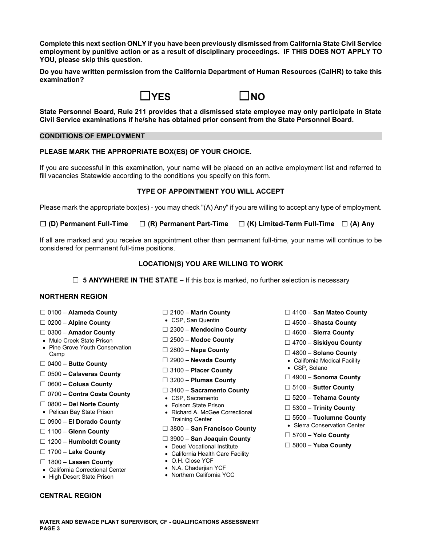**Complete this next section ONLY if you have been previously dismissed from California State Civil Service employment by punitive action or as a result of disciplinary proceedings. IF THIS DOES NOT APPLY TO YOU, please skip this question.** 

**Do you have written permission from the California Department of Human Resources (CalHR) to take this examination?** 



**State Personnel Board, Rule 211 provides that a dismissed state employee may only participate in State Civil Service examinations if he/she has obtained prior consent from the State Personnel Board.** 

# **CONDITIONS OF EMPLOYMENT**

# **PLEASE MARK THE APPROPRIATE BOX(ES) OF YOUR CHOICE.**

If you are successful in this examination, your name will be placed on an active employment list and referred to fill vacancies Statewide according to the conditions you specify on this form.

# **TYPE OF APPOINTMENT YOU WILL ACCEPT**

Please mark the appropriate box(es) - you may check "(A) Any" if you are willing to accept any type of employment.

| $\square$ (D) Permanent Full-Time | $\square$ (R) Permanent Part-Time $\square$ (K) Limited-Term Full-Time $\square$ (A) Any |  |
|-----------------------------------|------------------------------------------------------------------------------------------|--|
|-----------------------------------|------------------------------------------------------------------------------------------|--|

If all are marked and you receive an appointment other than permanent full-time, your name will continue to be considered for permanent full-time positions.

# **LOCATION(S) YOU ARE WILLING TO WORK**

☐ **5 ANYWHERE IN THE STATE –** If this box is marked, no further selection is necessary

# **NORTHERN REGION**

- 
- 
- 
- 
- Mule Creek State Prison ☐ 2500 **Modoc County** ☐ 4700 **Siskiyou County**  Pine Grove Youth Conservation ☐ 2800 **Napa County** Camp ☐ 4800 **Solano County**
- ☐ 2900 **Nevada County**  California Medical Facility ☐ 0400 **Butte County**
- ☐ **Placer County**  CSP, Solano 3100 ☐ 0500 **Calaveras County**
- ☐ 0600 **Colusa County**
- ☐ ☐ 5100 **Sutter County** 3400 **Sacramento County** ☐ 0700 **Contra Costa County**  CSP, Sacramento ☐ 5200 **Tehama County**
- 
- 
- 
- 
- 
- 
- ☐ 1800 **Lassen County**  O.H. Close YCF
- California Correctional Center N.A. Chaderjian YCF
- High Desert State Prison

### **CENTRAL REGION**

- 
- 
- ☐ ☐ 2300 **Mendocino County** 0300 **Amador County** ☐ 4600 **Sierra County** 
	-
	-
	-
	-
	- ☐ 4900 **Sonoma County** 3200 **Plumas County** ☐
	-
	-
	-
- ☐ 0800 **Del Norte County**  Folsom State Prison ☐ 5300 **Trinity County**  Pelican Bay State Prison Richard A. McGee Correctional
- Training Center ☐ 5500 **Tuolumne County** ☐ 0900 **El Dorado County**  Sierra Conservation Center ☐ 3800 – **San Francisco County** 1100 – **Glenn County** ☐
- ☐ ☐ 3900 **San Joaquin County** 1200 **Humboldt County**  Deuel Vocational Institute ☐ 5800 **Yuba County** 
	-
	- California Health Care Facility
	-
	-
	-
- ☐ 0100 **Alameda County** ☐ 2100 **Marin County** ☐ 4100 **San Mateo County**
- ☐ 0200 **Alpine County**  CSP, San Quentin ☐ 4500 **Shasta County** 
	-
	-
	-
	-
	-
	-
	-
	-
	-
	-
	-
	- ☐ 5700 **Yolo County**
	-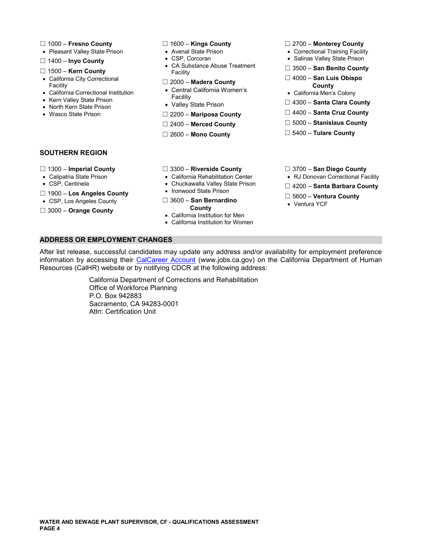- 
- 
- □ 1400 Inyo County
- 
- California City Correctional <br>
Facility Correctional **□ 2000 Madera County Department County**<br>
County **County Activity Activity** Central California Women's
- 
- Kern Valley State Prison
- 
- 

- 
- 
- CA Substance Abuse Treatment ☐ 3500 – **San Benito County** 1500 – **Kern County** ☐ Facility
	-
- Central California Women's California Correctional Institution California Men's Colony Facility
	-
- Wasco State Prison **□ 2200 Mariposa County** 
	-
	-
- ☐ 1000 **Fresno County** ☐ 1600 **Kings County** ☐ 2700 **Monterey County**
- Pleasant Valley State Prison Avenal State Prison Correctional Training Facility
	-
	-
	-
	-
- North Kern State Prison  **North Kern State Prison North Kern State Prison**<br>■ North Kern State Prison North County **D** 4400 **Santa Cruz County**<br>■ Wasco State Prison □ 2200 Marinosa County
	-
	- ☐ 2400 **Merced County** ☐ 5000 **Stanislaus County**
	- ☐ 2600 **Mono County** ☐ 5400 **Tulare County**

### **SOUTHERN REGION**

- 
- 
- 
- 
- 
- 
- 
- 
- 
- 
- ☐ **Los Angeles County**  Ironwood State Prison 1900 ☐ 5600 **Ventura County**  CSP, Los Angeles County ☐ 3600 **San Bernardino**  Ventura YCF □ 3000 – **Orange County**<br>• California Institution for Men
	-
	- California Institution for Women
- ☐ 1300 **Imperial County** ☐ 3300 **Riverside County** ☐ 3700 **San Diego County**
- Calipatria State Prison California Rehabilitation Center RJ Donovan Correctional Facility
- CSP, Centinela **COUNTY** Chuckawalla Valley State Prison **◯ 4200 Santa Barbara County**<br>
□ 1900 Los Angeles County Ironwood State Prison
	-
	-

### **ADDRESS OR EMPLOYMENT CHANGES**

After list release, successful candidates may update any address and/or availability for employment preference information by accessing their [CalCareer Account](https://www.jobs.ca.gov/) [\(www.jobs.ca.gov](www.jobs.ca.gov)) on the California Department of Human Resources (CalHR) website or by notifying CDCR at the following address:

> California Department of Corrections and Rehabilitation Office of Workforce Planning P.O. Box 942883 Sacramento, CA 94283-0001 Attn: Certification Unit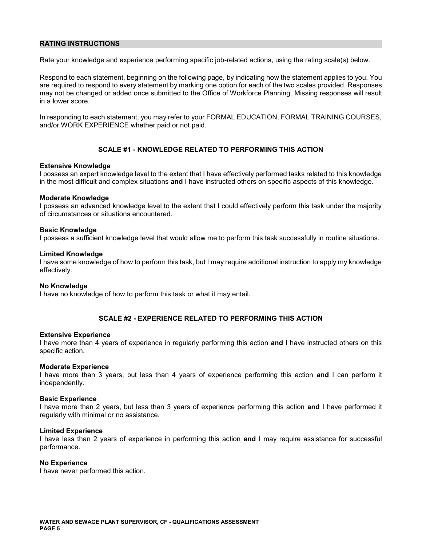#### **RATING INSTRUCTIONS**

Rate your knowledge and experience performing specific job-related actions, using the rating scale(s) below.

Respond to each statement, beginning on the following page, by indicating how the statement applies to you. You are required to respond to every statement by marking one option for each of the two scales provided. Responses may not be changed or added once submitted to the Office of Workforce Planning. Missing responses will result in a lower score.

In responding to each statement, you may refer to your FORMAL EDUCATION, FORMAL TRAINING COURSES, and/or WORK EXPERIENCE whether paid or not paid.

### **SCALE #1 - KNOWLEDGE RELATED TO PERFORMING THIS ACTION**

#### **Extensive Knowledge**

I possess an expert knowledge level to the extent that I have effectively performed tasks related to this knowledge in the most difficult and complex situations **and** I have instructed others on specific aspects of this knowledge.

#### **Moderate Knowledge**

I possess an advanced knowledge level to the extent that I could effectively perform this task under the majority of circumstances or situations encountered.

#### **Basic Knowledge**

I possess a sufficient knowledge level that would allow me to perform this task successfully in routine situations.

#### **Limited Knowledge**

I have some knowledge of how to perform this task, but I may require additional instruction to apply my knowledge effectively.

#### **No Knowledge**

I have no knowledge of how to perform this task or what it may entail.

### **SCALE #2 - EXPERIENCE RELATED TO PERFORMING THIS ACTION**

#### **Extensive Experience**

I have more than 4 years of experience in regularly performing this action **and** I have instructed others on this specific action.

#### **Moderate Experience**

I have more than 3 years, but less than 4 years of experience performing this action **and** I can perform it independently.

#### **Basic Experience**

I have more than 2 years, but less than 3 years of experience performing this action **and** I have performed it regularly with minimal or no assistance.

#### **Limited Experience**

I have less than 2 years of experience in performing this action **and** I may require assistance for successful performance.

#### **No Experience**

I have never performed this action.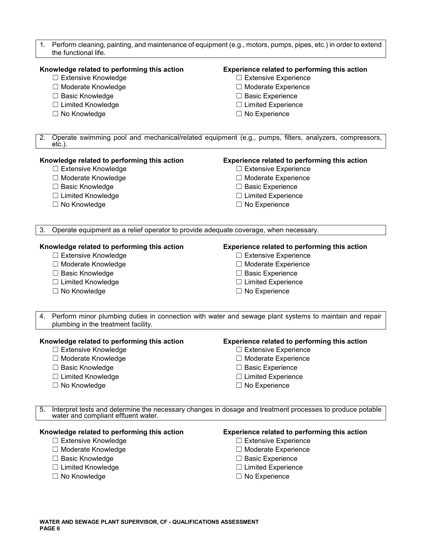1. Perform cleaning, painting, and maintenance of equipment (e.g., motors, pumps, pipes, etc.) in order to extend the functional life.

#### **Knowledge related to performing this action Experience related to performing this action**

- ☐ Extensive Knowledge ☐ Extensive Experience
- ☐ Moderate Knowledge ☐ Moderate Experience
- ☐ Basic Knowledge ☐ Basic Experience
- ☐ Limited Knowledge ☐ Limited Experience
- ☐ No Knowledge ☐ No Experience

- 
- 
- 
- 
- 

2. Operate swimming pool and mechanical/related equipment (e.g., pumps, filters, analyzers, compressors, etc.).

#### **Knowledge related to performing this action Experience related to performing this action**

- ☐ Extensive Knowledge ☐ Extensive Experience
- ☐ Moderate Knowledge ☐ Moderate Experience
- 
- ☐ Limited Knowledge ☐ Limited Experience
- ☐ No Knowledge ☐ No Experience

- 
- 
- ☐ Basic Knowledge ☐ Basic Experience
	-
	-

3. Operate equipment as a relief operator to provide adequate coverage, when necessary.

#### **Knowledge related to performing this action Experience related to performing this action**

- ☐ Extensive Knowledge ☐ Extensive Experience
- 
- ☐ Basic Knowledge ☐ Basic Experience
- ☐ Limited Knowledge ☐ Limited Experience
- 

- 
- ☐ Moderate Knowledge ☐ Moderate Experience
	-
	-
- ☐ No Knowledge ☐ No Experience

4. Perform minor plumbing duties in connection with water and sewage plant systems to maintain and repair plumbing in the treatment facility.

#### **Knowledge related to performing this action Experience related to performing this action**

- ☐ Extensive Knowledge ☐ Extensive Experience
- ☐ Moderate Knowledge ☐ Moderate Experience
- ☐ Basic Knowledge ☐ Basic Experience
- ☐ Limited Knowledge ☐ Limited Experience
- ☐ No Knowledge ☐ No Experience

- 
- 
- 
- 
- 

Interpret tests and determine the necessary changes in dosage and treatment processes to produce potable water and compliant effluent water.

# **Knowledge related to performing this action Experience related to performing this action**

- ☐ Extensive Knowledge ☐ Extensive Experience
- ☐ Moderate Knowledge ☐ Moderate Experience
- ☐ Basic Knowledge ☐ Basic Experience
- ☐ Limited Knowledge ☐ Limited Experience
- ☐ No Knowledge ☐ No Experience

- 
- 
- 
- 
-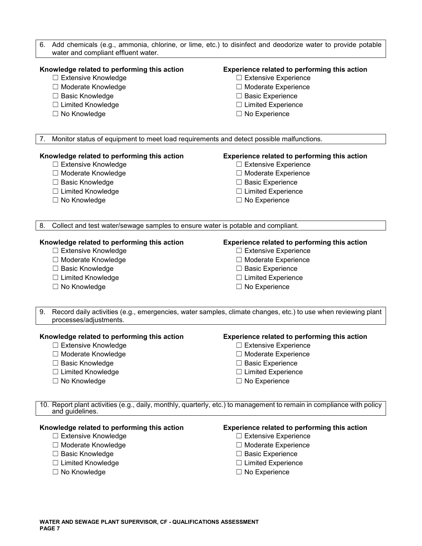| water and compliant effluent water.                                                           | 6. Add chemicals (e.g., ammonia, chlorine, or lime, etc.) to disinfect and deodorize water to provide potable         |
|-----------------------------------------------------------------------------------------------|-----------------------------------------------------------------------------------------------------------------------|
| Knowledge related to performing this action                                                   | Experience related to performing this action                                                                          |
| □ Extensive Knowledge                                                                         | $\Box$ Extensive Experience                                                                                           |
| □ Moderate Knowledge                                                                          | □ Moderate Experience                                                                                                 |
| □ Basic Knowledge                                                                             | $\Box$ Basic Experience                                                                                               |
| □ Limited Knowledge                                                                           | $\Box$ Limited Experience                                                                                             |
| $\Box$ No Knowledge                                                                           | $\Box$ No Experience                                                                                                  |
|                                                                                               |                                                                                                                       |
| Monitor status of equipment to meet load requirements and detect possible malfunctions.<br>7. |                                                                                                                       |
| Knowledge related to performing this action                                                   | Experience related to performing this action                                                                          |
| □ Extensive Knowledge                                                                         | $\Box$ Extensive Experience                                                                                           |
| □ Moderate Knowledge                                                                          | □ Moderate Experience                                                                                                 |
| □ Basic Knowledge                                                                             | $\Box$ Basic Experience                                                                                               |
| □ Limited Knowledge                                                                           | $\Box$ Limited Experience                                                                                             |
| □ No Knowledge                                                                                | $\Box$ No Experience                                                                                                  |
| Collect and test water/sewage samples to ensure water is potable and compliant.<br>8.         |                                                                                                                       |
|                                                                                               |                                                                                                                       |
| Knowledge related to performing this action                                                   | Experience related to performing this action                                                                          |
| □ Extensive Knowledge                                                                         | $\Box$ Extensive Experience                                                                                           |
| □ Moderate Knowledge                                                                          | □ Moderate Experience                                                                                                 |
| □ Basic Knowledge                                                                             | $\Box$ Basic Experience                                                                                               |
| □ Limited Knowledge                                                                           | $\Box$ Limited Experience                                                                                             |
| □ No Knowledge                                                                                | $\Box$ No Experience                                                                                                  |
| 9.<br>processes/adjustments.                                                                  | Record daily activities (e.g., emergencies, water samples, climate changes, etc.) to use when reviewing plant         |
| Knowledge related to performing this action                                                   | Experience related to performing this action                                                                          |
| $\Box$ Extensive Knowledge                                                                    | $\Box$ Extensive Experience                                                                                           |
| □ Moderate Knowledge                                                                          | □ Moderate Experience                                                                                                 |
| □ Basic Knowledge                                                                             | $\Box$ Basic Experience                                                                                               |
| □ Limited Knowledge                                                                           | $\Box$ Limited Experience                                                                                             |
| □ No Knowledge                                                                                | $\Box$ No Experience                                                                                                  |
| and guidelines.                                                                               | 10. Report plant activities (e.g., daily, monthly, quarterly, etc.) to management to remain in compliance with policy |
| Knowledge related to performing this action                                                   | Experience related to performing this action                                                                          |
| □ Extensive Knowledge                                                                         | $\Box$ Extensive Experience                                                                                           |
| □ Moderate Knowledge                                                                          | □ Moderate Experience                                                                                                 |
| □ Basic Knowledge                                                                             | $\Box$ Basic Experience                                                                                               |
| □ Limited Knowledge                                                                           | $\Box$ Limited Experience                                                                                             |
| $\Box$ No Knowledge                                                                           | $\Box$ No Experience                                                                                                  |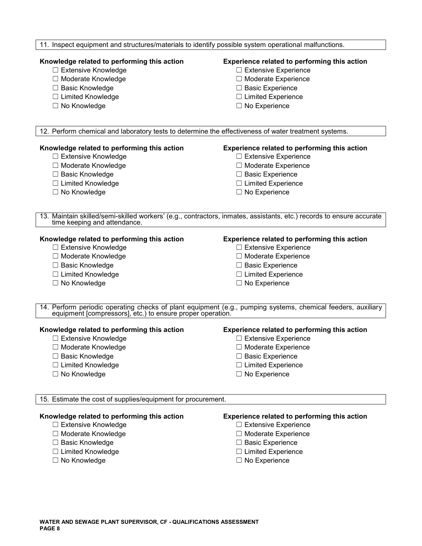#### 11. Inspect equipment and structures/materials to identify possible system operational malfunctions.

# **Knowledge related to performing this action Experience related to performing this action**

- ☐ Extensive Knowledge ☐ Extensive Experience
- ☐ Moderate Knowledge ☐ Moderate Experience
- ☐ Basic Knowledge ☐ Basic Experience
- ☐ Limited Knowledge ☐ Limited Experience
- ☐ No Knowledge ☐ No Experience

- 
- 
- 
- 
- 

12. Perform chemical and laboratory tests to determine the effectiveness of water treatment systems.

### **Knowledge related to performing this action Experience related to performing this action**

- 
- 
- 
- ☐ Limited Knowledge ☐ Limited Experience
- 

- ☐ Extensive Knowledge ☐ Extensive Experience
- ☐ Moderate Knowledge ☐ Moderate Experience
- ☐ Basic Knowledge ☐ Basic Experience
	-
- ☐ No Knowledge ☐ No Experience

13. Maintain skilled/semi-skilled workers' (e.g., contractors, inmates, assistants, etc.) records to ensure accurate time keeping and attendance.

- ☐ Extensive Knowledge ☐ Extensive Experience
- 
- 
- ☐ Limited Knowledge ☐ Limited Experience
- ☐ No Knowledge ☐ No Experience

### **Knowledge related to performing this action Experience related to performing this action**

- 
- ☐ Moderate Knowledge ☐ Moderate Experience
- ☐ Basic Knowledge ☐ Basic Experience
	-
	-

14. Perform periodic operating checks of plant equipment (e.g., pumping systems, chemical feeders, auxiliary equipment [compressors], etc.) to ensure proper operation.

#### **Knowledge related to performing this action Experience related to performing this action**

- ☐ Extensive Knowledge ☐ Extensive Experience
- ☐ Moderate Knowledge ☐ Moderate Experience
- 
- 
- 

- 
- 
- ☐ Basic Knowledge ☐ Basic Experience
- ☐ Limited Knowledge ☐ Limited Experience
- ☐ No Knowledge ☐ No Experience

15. Estimate the cost of supplies/equipment for procurement.

- ☐ Extensive Knowledge ☐ Extensive Experience
- ☐ Moderate Knowledge ☐ Moderate Experience
- ☐ Basic Knowledge ☐ Basic Experience
- ☐ Limited Knowledge ☐ Limited Experience
- 

#### **Knowledge related to performing this action Experience related to performing this action**

- 
- 
- 
- 
- ☐ No Knowledge ☐ No Experience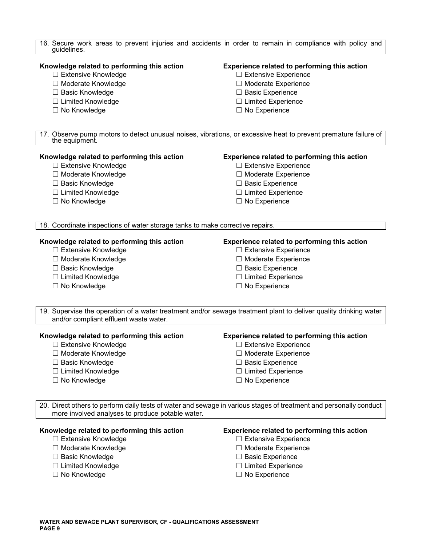| guidelines.                                                                   | 16. Secure work areas to prevent injuries and accidents in order to remain in compliance with policy and           |
|-------------------------------------------------------------------------------|--------------------------------------------------------------------------------------------------------------------|
| Knowledge related to performing this action<br>$\Box$ Extensive Knowledge     | Experience related to performing this action<br>□ Extensive Experience                                             |
| □ Moderate Knowledge                                                          | □ Moderate Experience                                                                                              |
| □ Basic Knowledge                                                             | $\Box$ Basic Experience                                                                                            |
| □ Limited Knowledge                                                           | $\Box$ Limited Experience                                                                                          |
| □ No Knowledge                                                                | $\Box$ No Experience                                                                                               |
|                                                                               |                                                                                                                    |
| the equipment.                                                                | 17. Observe pump motors to detect unusual noises, vibrations, or excessive heat to prevent premature failure of    |
| Knowledge related to performing this action                                   | Experience related to performing this action                                                                       |
| $\Box$ Extensive Knowledge                                                    | $\Box$ Extensive Experience                                                                                        |
| □ Moderate Knowledge                                                          | □ Moderate Experience                                                                                              |
| □ Basic Knowledge                                                             | □ Basic Experience                                                                                                 |
| $\Box$ Limited Knowledge                                                      | $\Box$ Limited Experience                                                                                          |
| □ No Knowledge                                                                | $\Box$ No Experience                                                                                               |
| 18. Coordinate inspections of water storage tanks to make corrective repairs. |                                                                                                                    |
| Knowledge related to performing this action                                   | Experience related to performing this action                                                                       |
| □ Extensive Knowledge                                                         | $\Box$ Extensive Experience                                                                                        |
| □ Moderate Knowledge                                                          | □ Moderate Experience                                                                                              |
| □ Basic Knowledge                                                             | $\Box$ Basic Experience                                                                                            |
| □ Limited Knowledge                                                           | □ Limited Experience                                                                                               |
| □ No Knowledge                                                                | $\Box$ No Experience                                                                                               |
|                                                                               | 19. Supervise the operation of a water treatment and/or sewage treatment plant to deliver quality drinking water   |
| and/or compliant effluent waste water.                                        |                                                                                                                    |
| Knowledge related to performing this action                                   | Experience related to performing this action                                                                       |
| $\Box$ Extensive Knowledge                                                    | <b>Extensive Experience</b>                                                                                        |
| □ Moderate Knowledge                                                          | □ Moderate Experience                                                                                              |
| $\Box$ Basic Knowledge                                                        | $\Box$ Basic Experience                                                                                            |
| □ Limited Knowledge<br>□ No Knowledge                                         | $\Box$ Limited Experience<br>$\Box$ No Experience                                                                  |
|                                                                               |                                                                                                                    |
| more involved analyses to produce potable water.                              | 20. Direct others to perform daily tests of water and sewage in various stages of treatment and personally conduct |
| Knowledge related to performing this action                                   | Experience related to performing this action                                                                       |
| $\Box$ Extensive Knowledge                                                    | $\Box$ Extensive Experience                                                                                        |
| □ Moderate Knowledge                                                          | Moderate Experience                                                                                                |
| $\Box$ Basic Knowledge                                                        | $\Box$ Basic Experience                                                                                            |
| □ Limited Knowledge                                                           | $\Box$ Limited Experience                                                                                          |
| □ No Knowledge                                                                | $\Box$ No Experience                                                                                               |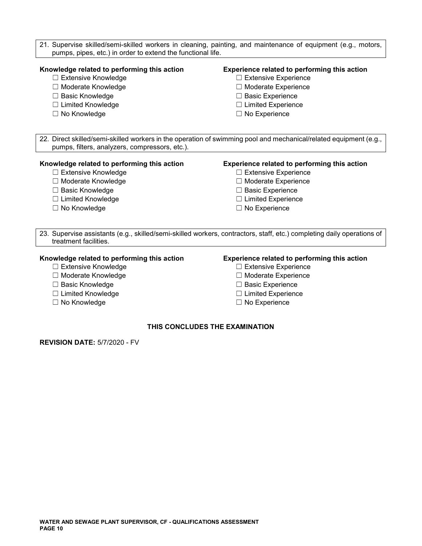- 21. Supervise skilled/semi-skilled workers in cleaning, painting, and maintenance of equipment (e.g., motors, pumps, pipes, etc.) in order to extend the functional life. **Knowledge related to performing this action Experience related to performing this action**  ☐ Extensive Knowledge ☐ Extensive Experience
	-
	-
	-
	-
- 
- ☐ Moderate Knowledge ☐ Moderate Experience
- ☐ Basic Knowledge ☐ Basic Experience
- ☐ Limited Knowledge ☐ Limited Experience
- ☐ No Knowledge ☐ No Experience

22. Direct skilled/semi-skilled workers in the operation of swimming pool and mechanical/related equipment (e.g., pumps, filters, analyzers, compressors, etc.).

#### **Knowledge related to performing this action Experience related to performing this action**

- ☐ Extensive Knowledge ☐ Extensive Experience
- ☐ Moderate Knowledge ☐ Moderate Experience
- 
- 
- 

- 
- 
- ☐ Basic Knowledge ☐ Basic Experience
- ☐ Limited Knowledge ☐ Limited Experience
- ☐ No Knowledge ☐ No Experience

23. Supervise assistants (e.g., skilled/semi-skilled workers, contractors, staff, etc.) completing daily operations of treatment facilities.

- ☐ Extensive Knowledge ☐ Extensive Experience
- ☐ Moderate Knowledge ☐ Moderate Experience
- 
- 
- 

### **Knowledge related to performing this action Experience related to performing this action**

- 
- 
- ☐ Basic Knowledge ☐ Basic Experience
- ☐ Limited Knowledge ☐ Limited Experience
- ☐ No Knowledge ☐ No Experience

# **THIS CONCLUDES THE EXAMINATION**

**REVISION DATE:** 5/7/2020 - FV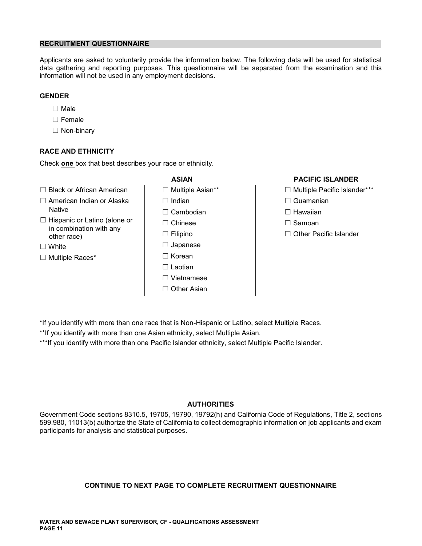### **RECRUITMENT QUESTIONNAIRE**

Applicants are asked to voluntarily provide the information below. The following data will be used for statistical data gathering and reporting purposes. This questionnaire will be separated from the examination and this information will not be used in any employment decisions.

# **GENDER**

- ☐ Male
- ☐ Female
- ☐ Non-binary

# **RACE AND ETHNICITY**

Check **one** box that best describes your race or ethnicity.

- ☐ Black or African American ☐ Multiple Asian\*\* ☐ Multiple Pacific Islander\*\*\*
- ☐ American Indian or Alaska ☐ Indian ☐ Guamanian
- ☐ Hispanic or Latino (alone or ☐ Chinese ☐ Samoan in combination with any other race) ☐ Filipino ☐ Other Pacific Islander
- 
- 
- Native ☐ Cambodian ☐ Hawaiian ☐ White ☐ Japanese ☐ Multiple Races\* ☐ Korean ☐ Laotian ☐ Vietnamese ☐ Other Asian

# **ASIAN PACIFIC ISLANDER**

- 
- 
- 
- 
- 

- \*If you identify with more than one race that is Non-Hispanic or Latino, select Multiple Races.
- \*\*If you identify with more than one Asian ethnicity, select Multiple Asian.

\*\*\*If you identify with more than one Pacific Islander ethnicity, select Multiple Pacific Islander.

### **AUTHORITIES**

Government Code sections 8310.5, 19705, 19790, 19792(h) and California Code of Regulations, Title 2, sections 599.980, 11013(b) authorize the State of California to collect demographic information on job applicants and exam participants for analysis and statistical purposes.

# **CONTINUE TO NEXT PAGE TO COMPLETE RECRUITMENT QUESTIONNAIRE**